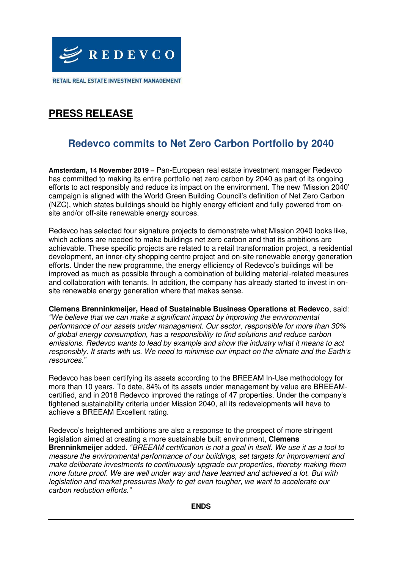

RETAIL REAL ESTATE INVESTMENT MANAGEMENT

# **PRESS RELEASE**

### **Redevco commits to Net Zero Carbon Portfolio by 2040**

**Amsterdam, 14 November 2019 –** Pan-European real estate investment manager Redevco has committed to making its entire portfolio net zero carbon by 2040 as part of its ongoing efforts to act responsibly and reduce its impact on the environment. The new 'Mission 2040' campaign is aligned with the World Green Building Council's definition of Net Zero Carbon (NZC), which states buildings should be highly energy efficient and fully powered from onsite and/or off-site renewable energy sources.

Redevco has selected four signature projects to demonstrate what Mission 2040 looks like, which actions are needed to make buildings net zero carbon and that its ambitions are achievable. These specific projects are related to a retail transformation project, a residential development, an inner-city shopping centre project and on-site renewable energy generation efforts. Under the new programme, the energy efficiency of Redevco's buildings will be improved as much as possible through a combination of building material-related measures and collaboration with tenants. In addition, the company has already started to invest in onsite renewable energy generation where that makes sense.

**Clemens Brenninkmeijer, Head of Sustainable Business Operations at Redevco**, said: *"*We believe that we can make a significant impact by improving the environmental performance of our assets under management. Our sector, responsible for more than 30% of global energy consumption, has a responsibility to find solutions and reduce carbon emissions. Redevco wants to lead by example and show the industry what it means to act responsibly. It starts with us. We need to minimise our impact on the climate and the E*arth's*  resources.*"*

Redevco has been certifying its assets according to the BREEAM In-Use methodology for more than 10 years. To date, 84% of its assets under management by value are BREEAMcertified, and in 2018 Redevco improved the ratings of 47 properties. Under the company's tightened sustainability criteria under Mission 2040, all its redevelopments will have to achieve a BREEAM Excellent rating.

Redevco's heightened ambitions are also a response to the prospect of more stringent legislation aimed at creating a more sustainable built environment, **Clemens Brenninkmeijer** added. *"*BREEAM certification is not a goal in itself. We use it as a tool to measure the environmental performance of our buildings, set targets for improvement and make deliberate investments to continuously upgrade our properties, thereby making them more future proof. We are well under way and have learned and achieved a lot. But with legislation and market pressures likely to get even tougher, we want to accelerate our *carbon reduction efforts."*